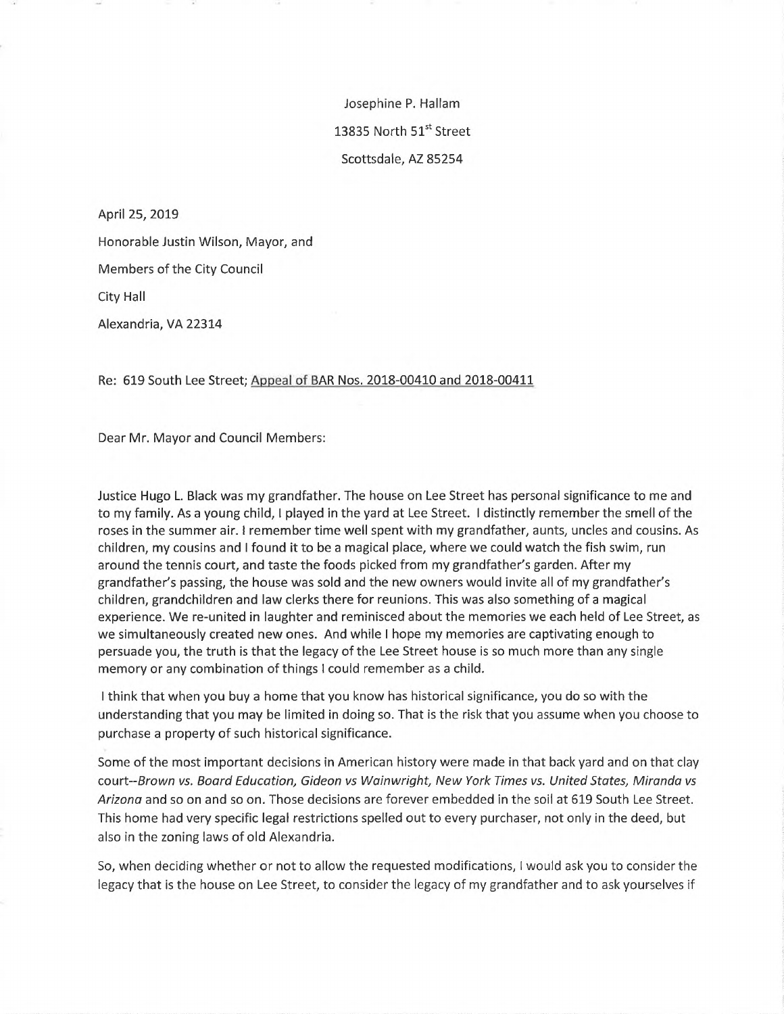Josephine P. Hallam 13835 North 51st Street Scottsdale, AZ 85254

April 25, 2019 Honorable Justin Wilson, Mayor, and Members of the City Council City Hall Alexandria, VA 22314

Re: 619 South Lee Street; Appeal of BAR Nos. 2018-00410 and 2018-00411

Dear Mr. Mayor and Council Members:

Justice Hugo L. Black was my grandfather. The house on Lee Street has personal significance to me and to my family. As <sup>a</sup> young child, <sup>1</sup> played in the yard at Lee Street. <sup>I</sup> distinctly remember the smell ofthe roses in the summer air. <sup>I</sup> remember time well spent with my grandfather, aunts, uncles and cousins. As children, my cousins and <sup>I</sup> found it to be <sup>a</sup> magical place, where we could watch the fish swim, run around the tennis court, and taste the foods picked from my grandfather's garden. After my grandfather's passing, the house was sold and the new owners would invite all of my grandfather's children, grandchildren and law clerks there for reunions. This was also something of <sup>a</sup> magical experience. We re-united in laughter and reminisced about the memories we each held of Lee Street, as we simultaneously created new ones. And while <sup>I</sup> hope my memories are captivating enough to persuade you, the truth is that the legacy of the Lee Street house is so much more than any single memory or any combination of things <sup>1</sup> could remember as a child.

<sup>I</sup> think that when you buy a home that you know has historical significance, you do so with the understanding that you may be limited in doing so. That is the risk that you assume when you choose to purchase a property of such historical significance.

Some of the most important decisions in American history were made in that back yard and on that clay court-SroM/n *vs. Board Education, Gideon vs Wainwright, New York Times vs. United States, Miranda vs Arizona* and so on and so on. Those decisions are forever embedded in the soil at 619 South Lee Street. This home had very specific legal restrictions spelled out to every purchaser, not only in the deed, but also in the zoning laws of old Alexandria.

So, when deciding whether or not to allow the requested modifications, <sup>I</sup> would ask you to consider the legacy that is the house on Lee Street, to consider the legacy of my grandfather and to ask yourselves if